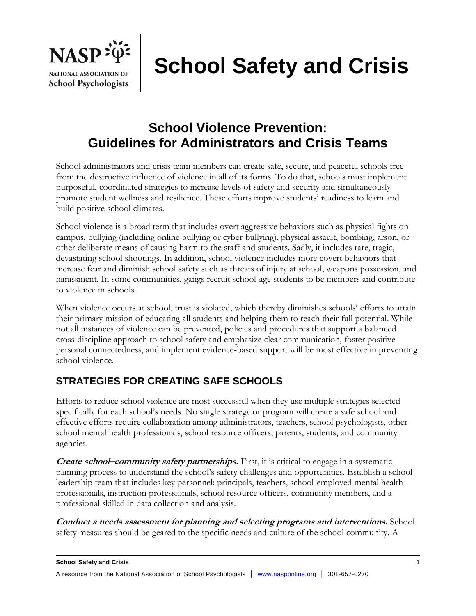

# **School Safety and Crisis**

## **School Violence Prevention: Guidelines for Administrators and Crisis Teams**

School administrators and crisis team members can create safe, secure, and peaceful schools free from the destructive influence of violence in all of its forms. To do that, schools must implement purposeful, coordinated strategies to increase levels of safety and security and simultaneously promote student wellness and resilience. These efforts improve students' readiness to learn and build positive school climates.

School violence is a broad term that includes overt aggressive behaviors such as physical fights on campus, bullying (including online bullying or cyber-bullying), physical assault, bombing, arson, or other deliberate means of causing harm to the staff and students. Sadly, it includes rare, tragic, devastating school shootings. In addition, school violence includes more covert behaviors that increase fear and diminish school safety such as threats of injury at school, weapons possession, and harassment. In some communities, gangs recruit school-age students to be members and contribute to violence in schools.

When violence occurs at school, trust is violated, which thereby diminishes schools' efforts to attain their primary mission of educating all students and helping them to reach their full potential. While not all instances of violence can be prevented, policies and procedures that support a balanced cross-discipline approach to school safety and emphasize clear communication, foster positive personal connectedness, and implement evidence-based support will be most effective in preventing school violence.

### **STRATEGIES FOR CREATING SAFE SCHOOLS**

Efforts to reduce school violence are most successful when they use multiple strategies selected specifically for each school's needs. No single strategy or program will create a safe school and effective efforts require collaboration among administrators, teachers, school psychologists, other school mental health professionals, school resource officers, parents, students, and community agencies.

**Create school–community safety partnerships.** First, it is critical to engage in a systematic planning process to understand the school's safety challenges and opportunities. Establish a school leadership team that includes key personnel: principals, teachers, school-employed mental health professionals, instruction professionals, school resource officers, community members, and a professional skilled in data collection and analysis.

**Conduct a needs assessment for planning and selecting programs and interventions.** School safety measures should be geared to the specific needs and culture of the school community. A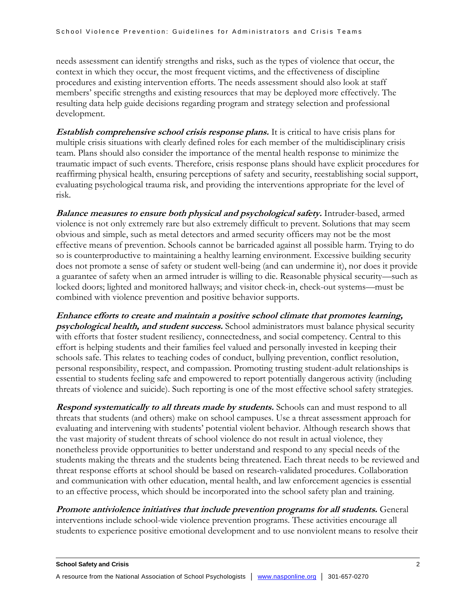needs assessment can identify strengths and risks, such as the types of violence that occur, the context in which they occur, the most frequent victims, and the effectiveness of discipline procedures and existing intervention efforts. The needs assessment should also look at staff members' specific strengths and existing resources that may be deployed more effectively. The resulting data help guide decisions regarding program and strategy selection and professional development.

**Establish comprehensive school crisis response plans.** It is critical to have crisis plans for multiple crisis situations with clearly defined roles for each member of the multidisciplinary crisis team. Plans should also consider the importance of the mental health response to minimize the traumatic impact of such events. Therefore, crisis response plans should have explicit procedures for reaffirming physical health, ensuring perceptions of safety and security, reestablishing social support, evaluating psychological trauma risk, and providing the interventions appropriate for the level of risk.

**Balance measures to ensure both physical and psychological safety.** Intruder-based, armed violence is not only extremely rare but also extremely difficult to prevent. Solutions that may seem obvious and simple, such as metal detectors and armed security officers may not be the most effective means of prevention. Schools cannot be barricaded against all possible harm. Trying to do so is counterproductive to maintaining a healthy learning environment. Excessive building security does not promote a sense of safety or student well-being (and can undermine it), nor does it provide a guarantee of safety when an armed intruder is willing to die. Reasonable physical security—such as locked doors; lighted and monitored hallways; and visitor check-in, check-out systems—must be combined with violence prevention and positive behavior supports.

**Enhance efforts to create and maintain a positive school climate that promotes learning, psychological health, and student success.** School administrators must balance physical security with efforts that foster student resiliency, connectedness, and social competency. Central to this effort is helping students and their families feel valued and personally invested in keeping their schools safe. This relates to teaching codes of conduct, bullying prevention, conflict resolution, personal responsibility, respect, and compassion. Promoting trusting student-adult relationships is essential to students feeling safe and empowered to report potentially dangerous activity (including threats of violence and suicide). Such reporting is one of the most effective school safety strategies.

**Respond systematically to all threats made by students.** Schools can and must respond to all threats that students (and others) make on school campuses. Use a threat assessment approach for evaluating and intervening with students' potential violent behavior. Although research shows that the vast majority of student threats of school violence do not result in actual violence, they nonetheless provide opportunities to better understand and respond to any special needs of the students making the threats and the students being threatened. Each threat needs to be reviewed and threat response efforts at school should be based on research-validated procedures. Collaboration and communication with other education, mental health, and law enforcement agencies is essential to an effective process, which should be incorporated into the school safety plan and training.

**Promote antiviolence initiatives that include prevention programs for all students.** General interventions include school-wide violence prevention programs. These activities encourage all students to experience positive emotional development and to use nonviolent means to resolve their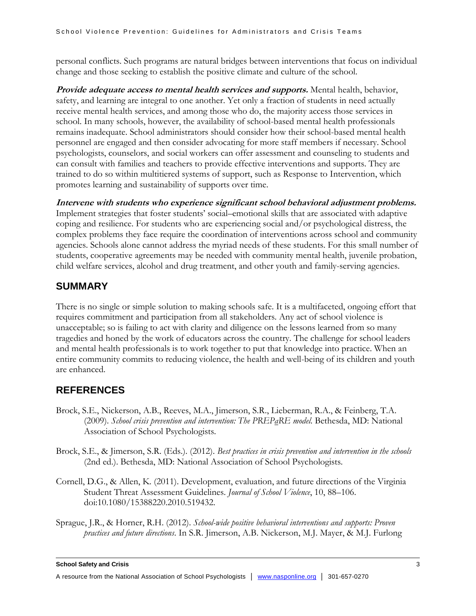personal conflicts. Such programs are natural bridges between interventions that focus on individual change and those seeking to establish the positive climate and culture of the school.

*Provide adequate access to mental health services and supports.* **Mental health, behavior,** safety, and learning are integral to one another. Yet only a fraction of students in need actually receive mental health services, and among those who do, the majority access those services in school. In many schools, however, the availability of school-based mental health professionals remains inadequate. School administrators should consider how their school-based mental health personnel are engaged and then consider advocating for more staff members if necessary. School psychologists, counselors, and social workers can offer assessment and counseling to students and can consult with families and teachers to provide effective interventions and supports. They are trained to do so within multitiered systems of support, such as Response to Intervention, which promotes learning and sustainability of supports over time.

**Intervene with students who experience significant school behavioral adjustment problems.** Implement strategies that foster students' social–emotional skills that are associated with adaptive coping and resilience. For students who are experiencing social and/or psychological distress, the complex problems they face require the coordination of interventions across school and community agencies. Schools alone cannot address the myriad needs of these students. For this small number of students, cooperative agreements may be needed with community mental health, juvenile probation, child welfare services, alcohol and drug treatment, and other youth and family-serving agencies.

#### **SUMMARY**

There is no single or simple solution to making schools safe. It is a multifaceted, ongoing effort that requires commitment and participation from all stakeholders. Any act of school violence is unacceptable; so is failing to act with clarity and diligence on the lessons learned from so many tragedies and honed by the work of educators across the country. The challenge for school leaders and mental health professionals is to work together to put that knowledge into practice. When an entire community commits to reducing violence, the health and well-being of its children and youth are enhanced.

#### **REFERENCES**

- Brock, S.E., Nickerson, A.B., Reeves, M.A., Jimerson, S.R., Lieberman, R.A., & Feinberg, T.A. (2009). *School crisis prevention and intervention: The PREPaRE model*. Bethesda, MD: National Association of School Psychologists.
- Brock, S.E., & Jimerson, S.R. (Eds.). (2012). *Best practices in crisis prevention and intervention in the schools* (2nd ed.). Bethesda, MD: National Association of School Psychologists.
- Cornell, D.G., & Allen, K. (2011). Development, evaluation, and future directions of the Virginia Student Threat Assessment Guidelines. *Journal of School Violence*, 10, 88–106. doi:10.1080/15388220.2010.519432.
- Sprague, J.R., & Horner, R.H. (2012). *School-wide positive behavioral interventions and supports: Proven practices and future directions*. In S.R. Jimerson, A.B. Nickerson, M.J. Mayer, & M.J. Furlong

**School Safety and Crisis** 3